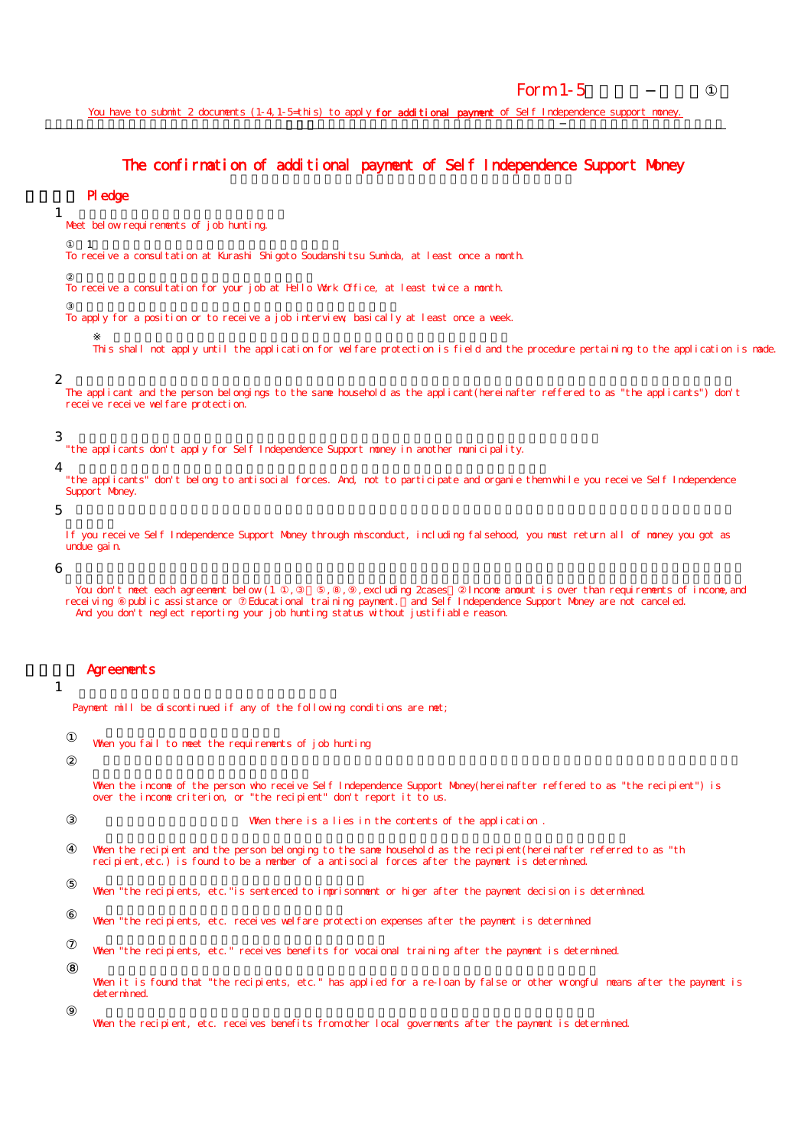# Form  $1-5$

You have to submit 2 documents (1-4, 1-5-this) to apply for additional payment of Self Independence support money. 新型コロナウイルス感染症生活困窮者自立支援金 再支給を希望する方は、この確認書と併せ申請書(様式1-4)を提出する必要があります

### The confirmation of additional payment of Self Independence Support Money コロナウイルス あまみず あまみず しゅうしょう

## Pledge

Meet below requirements of job hunting.

 $\mathbf 1$ 

To receive a consultation at Kurashi Shigoto Soudanshitsu Sumida, at least once a month.

To receive a consultation for your job at Hello Work Office, at least twice a month.

To apply for a position or to receive a job interview, basically at least once a week.

This shall not apply until the application for welfare protection is field and the procedure pertaining to the application is made.

#### 2

1

The applicant and the person belongings to the same household as the applicant(hereinafter reffered to as "the applicants") don't receive receive welfare protection.

#### 3

"the applicants don't apply for Self Independence Support money in another municipality.

4

"the applicants" don't belong to antisocial forces. And, not to participate and organie them while you receive Self Independence Support Money.

5

If you receive Self Independence Support Money through misconduct, including falsehood, you must return all of money you got as undue gain.

6

You don't meet each agreement below (1, , , , , , , excluding 2cases [ncome amount is over than requirements of income, and receiving public assistance or Educational training payment. and Self Independence Support Money are not canceled. And you don't neglect reporting your job hunting status without justifiable reason.

### Agreements

# 1

Payment mill be discontinued if any of the following conditions are met;

When you fail to meet the requirements of job hunting

When the income of the person who receive Self Independence Support Money(hereinafter reffered to as "the recipient") is over the income criterion, or "the recipient" don't report it to us.

When there is a lies in the contents of the application .

When the recipient and the person belonging to the same household as the recipient(hereinafter referred to as "th recipient, etc.) is found to be a member of a antisocial forces after the payment is determined.

When "the recipients, etc." is sentenced to imprisonment or higer after the payment decision is determined.

When "the recipients, etc. receives welfare protection expenses after the payment is determined

When "the recipients, etc." receives benefits for vocaional training after the payment is determined.

When it is found that "the recipients, etc." has applied for a re-loan by false or other wrongful means after the payment is det er mined.

When the recipient, etc. receives benefits from other local governents after the payment is determined.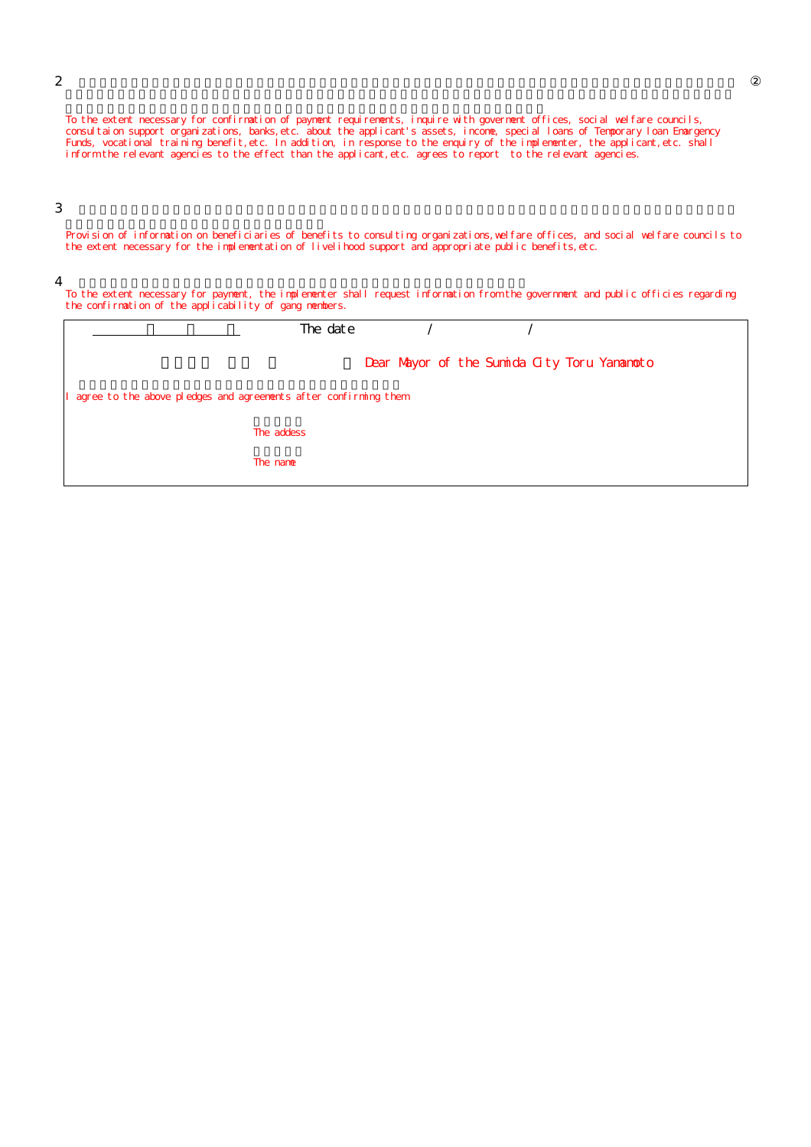To the extent necessary for confirmation of payment requirements, inquire with goverment offices, social welfare councils, consultaion support organizations, banks,etc. about the applicant's assets, income, special loans of Temporary loan Emargency Funds, vocational training benefit, etc. In addition, in response to the enquiry of the implementer, the applicant, etc. shall inform the relevant agencies to the effect than the applicant,etc. agrees to report to the relevant agencies.

## 3

Provision of information on beneficiaries of benefits to consulting organizations,welfare offices, and social welfare councils to the extent necessary for the implementation of livelihood support and appropriate public benefits, etc.

#### 4

To the extent necessary for payment, the implementer shall request information from the government and public officies regarding the confirmation of the applicability of gang members.

| The date                                                          |  |                                             |  |  |  |
|-------------------------------------------------------------------|--|---------------------------------------------|--|--|--|
|                                                                   |  | Dear Mayor of the Sumida City Toru Yananoto |  |  |  |
| I agree to the above pledges and agreements after confirming them |  |                                             |  |  |  |
| The addess                                                        |  |                                             |  |  |  |
| The name                                                          |  |                                             |  |  |  |